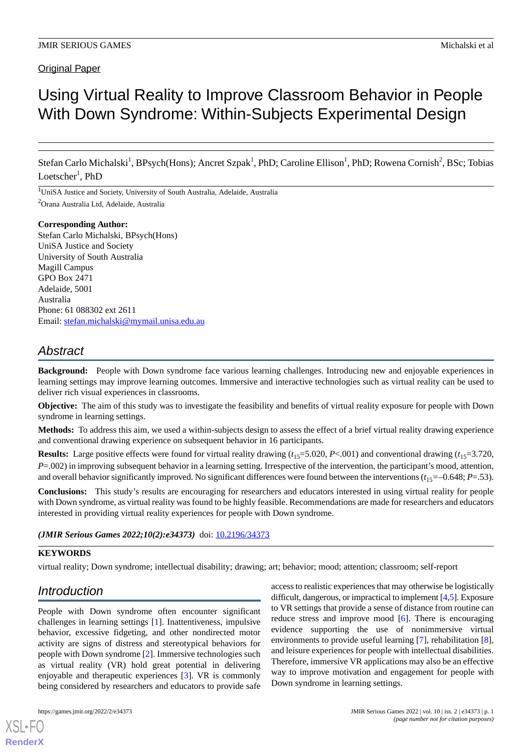# Using Virtual Reality to Improve Classroom Behavior in People With Down Syndrome: Within-Subjects Experimental Design

Stefan Carlo Michalski<sup>1</sup>, BPsych(Hons); Ancret Szpak<sup>1</sup>, PhD; Caroline Ellison<sup>1</sup>, PhD; Rowena Cornish<sup>2</sup>, BSc; Tobias Loetscher<sup>1</sup>, PhD

<sup>1</sup>UniSA Justice and Society, University of South Australia, Adelaide, Australia <sup>2</sup>Orana Australia Ltd, Adelaide, Australia

#### **Corresponding Author:**

Stefan Carlo Michalski, BPsych(Hons) UniSA Justice and Society University of South Australia Magill Campus GPO Box 2471 Adelaide, 5001 Australia Phone: 61 088302 ext 2611 Email: [stefan.michalski@mymail.unisa.edu.au](mailto:stefan.michalski@mymail.unisa.edu.au)

# *Abstract*

**Background:** People with Down syndrome face various learning challenges. Introducing new and enjoyable experiences in learning settings may improve learning outcomes. Immersive and interactive technologies such as virtual reality can be used to deliver rich visual experiences in classrooms.

**Objective:** The aim of this study was to investigate the feasibility and benefits of virtual reality exposure for people with Down syndrome in learning settings.

**Methods:** To address this aim, we used a within-subjects design to assess the effect of a brief virtual reality drawing experience and conventional drawing experience on subsequent behavior in 16 participants.

**Results:** Large positive effects were found for virtual reality drawing  $(t<sub>15</sub>=5.020, P<.001)$  and conventional drawing  $(t<sub>15</sub>=3.720, P<.001)$ *P*=.002) in improving subsequent behavior in a learning setting. Irrespective of the intervention, the participant's mood, attention, and overall behavior significantly improved. No significant differences were found between the interventions  $(t_{15} = -0.648; P = .53)$ .

**Conclusions:** This study's results are encouraging for researchers and educators interested in using virtual reality for people with Down syndrome, as virtual reality was found to be highly feasible. Recommendations are made for researchers and educators interested in providing virtual reality experiences for people with Down syndrome.

(JMIR Serious Games 2022;10(2):e34373) doi: [10.2196/34373](http://dx.doi.org/10.2196/34373)

# **KEYWORDS**

virtual reality; Down syndrome; intellectual disability; drawing; art; behavior; mood; attention; classroom; self-report

# *Introduction*

People with Down syndrome often encounter significant challenges in learning settings [[1\]](#page-6-0). Inattentiveness, impulsive behavior, excessive fidgeting, and other nondirected motor activity are signs of distress and stereotypical behaviors for people with Down syndrome [[2\]](#page-6-1). Immersive technologies such as virtual reality (VR) hold great potential in delivering enjoyable and therapeutic experiences [[3\]](#page-6-2). VR is commonly being considered by researchers and educators to provide safe

[XSL](http://www.w3.org/Style/XSL)•FO **[RenderX](http://www.renderx.com/)**

access to realistic experiences that may otherwise be logistically difficult, dangerous, or impractical to implement [\[4](#page-7-0)[,5](#page-7-1)]. Exposure to VR settings that provide a sense of distance from routine can reduce stress and improve mood [[6\]](#page-7-2). There is encouraging evidence supporting the use of nonimmersive virtual environments to provide useful learning [\[7](#page-7-3)], rehabilitation [[8\]](#page-7-4), and leisure experiences for people with intellectual disabilities. Therefore, immersive VR applications may also be an effective way to improve motivation and engagement for people with Down syndrome in learning settings.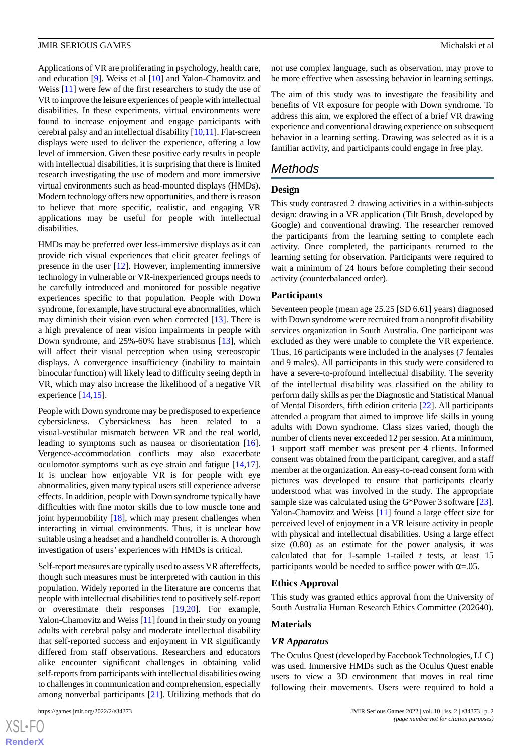Applications of VR are proliferating in psychology, health care, and education [\[9](#page-7-5)]. Weiss et al [[10\]](#page-7-6) and Yalon-Chamovitz and Weiss [[11\]](#page-7-7) were few of the first researchers to study the use of VR to improve the leisure experiences of people with intellectual disabilities. In these experiments, virtual environments were found to increase enjoyment and engage participants with cerebral palsy and an intellectual disability [[10](#page-7-6)[,11](#page-7-7)]. Flat-screen displays were used to deliver the experience, offering a low level of immersion. Given these positive early results in people with intellectual disabilities, it is surprising that there is limited research investigating the use of modern and more immersive virtual environments such as head-mounted displays (HMDs). Modern technology offers new opportunities, and there is reason to believe that more specific, realistic, and engaging VR applications may be useful for people with intellectual disabilities.

HMDs may be preferred over less-immersive displays as it can provide rich visual experiences that elicit greater feelings of presence in the user [\[12](#page-7-8)]. However, implementing immersive technology in vulnerable or VR-inexperienced groups needs to be carefully introduced and monitored for possible negative experiences specific to that population. People with Down syndrome, for example, have structural eye abnormalities, which may diminish their vision even when corrected [[13\]](#page-7-9). There is a high prevalence of near vision impairments in people with Down syndrome, and 25%-60% have strabismus [[13\]](#page-7-9), which will affect their visual perception when using stereoscopic displays. A convergence insufficiency (inability to maintain binocular function) will likely lead to difficulty seeing depth in VR, which may also increase the likelihood of a negative VR experience [[14,](#page-7-10)[15](#page-7-11)].

People with Down syndrome may be predisposed to experience cybersickness. Cybersickness has been related to a visual-vestibular mismatch between VR and the real world, leading to symptoms such as nausea or disorientation [[16\]](#page-7-12). Vergence-accommodation conflicts may also exacerbate oculomotor symptoms such as eye strain and fatigue [\[14](#page-7-10),[17\]](#page-7-13). It is unclear how enjoyable VR is for people with eye abnormalities, given many typical users still experience adverse effects. In addition, people with Down syndrome typically have difficulties with fine motor skills due to low muscle tone and joint hypermobility [[18\]](#page-7-14), which may present challenges when interacting in virtual environments. Thus, it is unclear how suitable using a headset and a handheld controller is. A thorough investigation of users' experiences with HMDs is critical.

Self-report measures are typically used to assess VR aftereffects, though such measures must be interpreted with caution in this population. Widely reported in the literature are concerns that people with intellectual disabilities tend to positively self-report or overestimate their responses [\[19](#page-7-15),[20\]](#page-7-16). For example, Yalon-Chamovitz and Weiss [\[11](#page-7-7)] found in their study on young adults with cerebral palsy and moderate intellectual disability that self-reported success and enjoyment in VR significantly differed from staff observations. Researchers and educators alike encounter significant challenges in obtaining valid self-reports from participants with intellectual disabilities owing to challenges in communication and comprehension, especially among nonverbal participants [[21\]](#page-7-17). Utilizing methods that do

[XSL](http://www.w3.org/Style/XSL)•FO **[RenderX](http://www.renderx.com/)** not use complex language, such as observation, may prove to be more effective when assessing behavior in learning settings.

The aim of this study was to investigate the feasibility and benefits of VR exposure for people with Down syndrome. To address this aim, we explored the effect of a brief VR drawing experience and conventional drawing experience on subsequent behavior in a learning setting. Drawing was selected as it is a familiar activity, and participants could engage in free play.

# *Methods*

#### **Design**

This study contrasted 2 drawing activities in a within-subjects design: drawing in a VR application (Tilt Brush, developed by Google) and conventional drawing. The researcher removed the participants from the learning setting to complete each activity. Once completed, the participants returned to the learning setting for observation. Participants were required to wait a minimum of 24 hours before completing their second activity (counterbalanced order).

#### **Participants**

Seventeen people (mean age 25.25 [SD 6.61] years) diagnosed with Down syndrome were recruited from a nonprofit disability services organization in South Australia. One participant was excluded as they were unable to complete the VR experience. Thus, 16 participants were included in the analyses (7 females and 9 males). All participants in this study were considered to have a severe-to-profound intellectual disability. The severity of the intellectual disability was classified on the ability to perform daily skills as per the Diagnostic and Statistical Manual of Mental Disorders, fifth edition criteria [[22\]](#page-7-18). All participants attended a program that aimed to improve life skills in young adults with Down syndrome. Class sizes varied, though the number of clients never exceeded 12 per session. At a minimum, 1 support staff member was present per 4 clients. Informed consent was obtained from the participant, caregiver, and a staff member at the organization. An easy-to-read consent form with pictures was developed to ensure that participants clearly understood what was involved in the study. The appropriate sample size was calculated using the G\*Power 3 software [[23\]](#page-7-19). Yalon-Chamovitz and Weiss [\[11](#page-7-7)] found a large effect size for perceived level of enjoyment in a VR leisure activity in people with physical and intellectual disabilities. Using a large effect size (0.80) as an estimate for the power analysis, it was calculated that for 1-sample 1-tailed *t* tests, at least 15 participants would be needed to suffice power with  $\alpha = 0.05$ .

#### **Ethics Approval**

This study was granted ethics approval from the University of South Australia Human Research Ethics Committee (202640).

## **Materials**

#### *VR Apparatus*

The Oculus Quest (developed by Facebook Technologies, LLC) was used. Immersive HMDs such as the Oculus Quest enable users to view a 3D environment that moves in real time following their movements. Users were required to hold a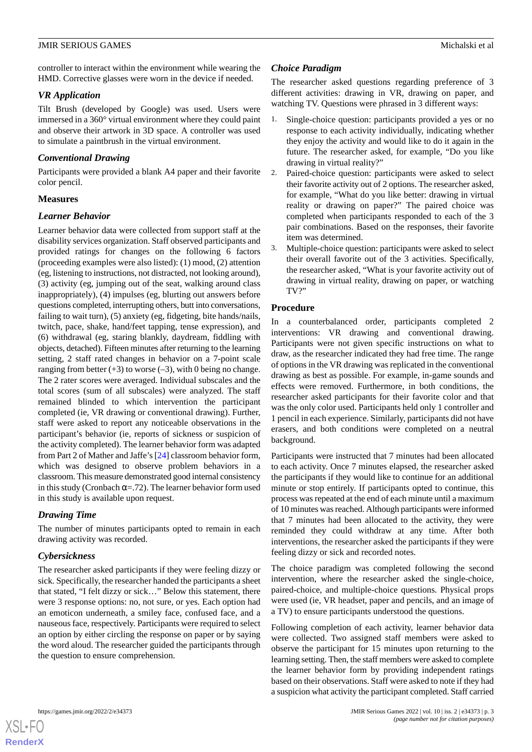controller to interact within the environment while wearing the HMD. Corrective glasses were worn in the device if needed.

#### *VR Application*

Tilt Brush (developed by Google) was used. Users were immersed in a 360° virtual environment where they could paint and observe their artwork in 3D space. A controller was used to simulate a paintbrush in the virtual environment.

## *Conventional Drawing*

Participants were provided a blank A4 paper and their favorite color pencil.

## **Measures**

# *Learner Behavior*

Learner behavior data were collected from support staff at the disability services organization. Staff observed participants and provided ratings for changes on the following 6 factors (proceeding examples were also listed): (1) mood, (2) attention (eg, listening to instructions, not distracted, not looking around), (3) activity (eg, jumping out of the seat, walking around class inappropriately), (4) impulses (eg, blurting out answers before questions completed, interrupting others, butt into conversations, failing to wait turn), (5) anxiety (eg, fidgeting, bite hands/nails, twitch, pace, shake, hand/feet tapping, tense expression), and (6) withdrawal (eg, staring blankly, daydream, fiddling with objects, detached). Fifteen minutes after returning to the learning setting, 2 staff rated changes in behavior on a 7-point scale ranging from better  $(+3)$  to worse  $(-3)$ , with 0 being no change. The 2 rater scores were averaged. Individual subscales and the total scores (sum of all subscales) were analyzed. The staff remained blinded to which intervention the participant completed (ie, VR drawing or conventional drawing). Further, staff were asked to report any noticeable observations in the participant's behavior (ie, reports of sickness or suspicion of the activity completed). The learner behavior form was adapted from Part 2 of Mather and Jaffe's [\[24](#page-7-20)] classroom behavior form, which was designed to observe problem behaviors in a classroom. This measure demonstrated good internal consistency in this study (Cronbach  $\alpha = .72$ ). The learner behavior form used in this study is available upon request.

# *Drawing Time*

The number of minutes participants opted to remain in each drawing activity was recorded.

# *Cybersickness*

The researcher asked participants if they were feeling dizzy or sick. Specifically, the researcher handed the participants a sheet that stated, "I felt dizzy or sick…" Below this statement, there were 3 response options: no, not sure, or yes. Each option had an emoticon underneath, a smiley face, confused face, and a nauseous face, respectively. Participants were required to select an option by either circling the response on paper or by saying the word aloud. The researcher guided the participants through the question to ensure comprehension.

# *Choice Paradigm*

The researcher asked questions regarding preference of 3 different activities: drawing in VR, drawing on paper, and watching TV. Questions were phrased in 3 different ways:

- 1. Single-choice question: participants provided a yes or no response to each activity individually, indicating whether they enjoy the activity and would like to do it again in the future. The researcher asked, for example, "Do you like drawing in virtual reality?"
- 2. Paired-choice question: participants were asked to select their favorite activity out of 2 options. The researcher asked, for example, "What do you like better: drawing in virtual reality or drawing on paper?" The paired choice was completed when participants responded to each of the 3 pair combinations. Based on the responses, their favorite item was determined.
- 3. Multiple-choice question: participants were asked to select their overall favorite out of the 3 activities. Specifically, the researcher asked, "What is your favorite activity out of drawing in virtual reality, drawing on paper, or watching TV?"

# **Procedure**

In a counterbalanced order, participants completed 2 interventions: VR drawing and conventional drawing. Participants were not given specific instructions on what to draw, as the researcher indicated they had free time. The range of options in the VR drawing was replicated in the conventional drawing as best as possible. For example, in-game sounds and effects were removed. Furthermore, in both conditions, the researcher asked participants for their favorite color and that was the only color used. Participants held only 1 controller and 1 pencil in each experience. Similarly, participants did not have erasers, and both conditions were completed on a neutral background.

Participants were instructed that 7 minutes had been allocated to each activity. Once 7 minutes elapsed, the researcher asked the participants if they would like to continue for an additional minute or stop entirely. If participants opted to continue, this process was repeated at the end of each minute until a maximum of 10 minutes was reached. Although participants were informed that 7 minutes had been allocated to the activity, they were reminded they could withdraw at any time. After both interventions, the researcher asked the participants if they were feeling dizzy or sick and recorded notes.

The choice paradigm was completed following the second intervention, where the researcher asked the single-choice, paired-choice, and multiple-choice questions. Physical props were used (ie, VR headset, paper and pencils, and an image of a TV) to ensure participants understood the questions.

Following completion of each activity, learner behavior data were collected. Two assigned staff members were asked to observe the participant for 15 minutes upon returning to the learning setting. Then, the staff members were asked to complete the learner behavior form by providing independent ratings based on their observations. Staff were asked to note if they had a suspicion what activity the participant completed. Staff carried

```
XS\cdotFC
RenderX
```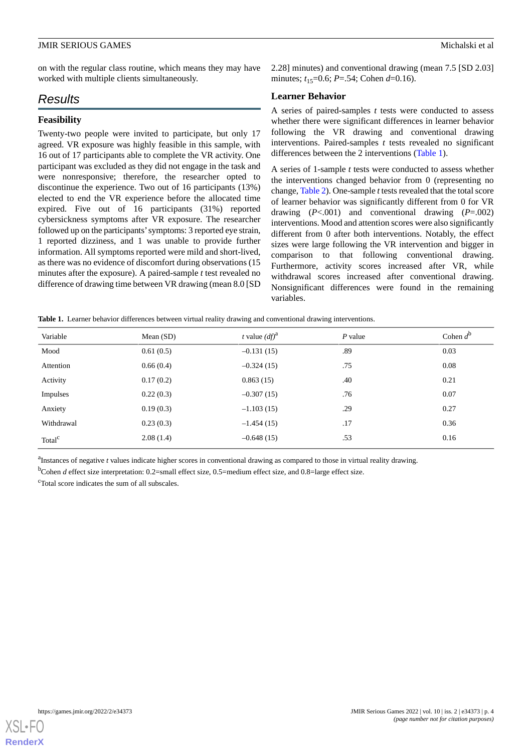on with the regular class routine, which means they may have worked with multiple clients simultaneously.

# *Results*

# **Feasibility**

Twenty-two people were invited to participate, but only 17 agreed. VR exposure was highly feasible in this sample, with 16 out of 17 participants able to complete the VR activity. One participant was excluded as they did not engage in the task and were nonresponsive; therefore, the researcher opted to discontinue the experience. Two out of 16 participants (13%) elected to end the VR experience before the allocated time expired. Five out of 16 participants (31%) reported cybersickness symptoms after VR exposure. The researcher followed up on the participants'symptoms: 3 reported eye strain, 1 reported dizziness, and 1 was unable to provide further information. All symptoms reported were mild and short-lived, as there was no evidence of discomfort during observations (15 minutes after the exposure). A paired-sample *t* test revealed no difference of drawing time between VR drawing (mean 8.0 [SD 2.28] minutes) and conventional drawing (mean 7.5 [SD 2.03] minutes;  $t_{15}=0.6$ ; *P*=.54; Cohen *d*=0.16).

## **Learner Behavior**

A series of paired-samples *t* tests were conducted to assess whether there were significant differences in learner behavior following the VR drawing and conventional drawing interventions. Paired-samples *t* tests revealed no significant differences between the 2 interventions [\(Table 1\)](#page-3-0).

A series of 1-sample *t* tests were conducted to assess whether the interventions changed behavior from 0 (representing no change, [Table 2\)](#page-4-0). One-sample *t*tests revealed that the total score of learner behavior was significantly different from 0 for VR drawing (*P*<.001) and conventional drawing (*P*=.002) interventions. Mood and attention scores were also significantly different from 0 after both interventions. Notably, the effect sizes were large following the VR intervention and bigger in comparison to that following conventional drawing. Furthermore, activity scores increased after VR, while withdrawal scores increased after conventional drawing. Nonsignificant differences were found in the remaining variables.

<span id="page-3-0"></span>

|  |  |  |  |  | Table 1. Learner behavior differences between virtual reality drawing and conventional drawing interventions. |  |
|--|--|--|--|--|---------------------------------------------------------------------------------------------------------------|--|
|  |  |  |  |  |                                                                                                               |  |

| Variable           | Mean $(SD)$ | <i>t</i> value $(df)^a$ | $P$ value | Cohen $d^b$ |
|--------------------|-------------|-------------------------|-----------|-------------|
| Mood               | 0.61(0.5)   | $-0.131(15)$            | .89       | 0.03        |
| Attention          | 0.66(0.4)   | $-0.324(15)$            | .75       | 0.08        |
| Activity           | 0.17(0.2)   | 0.863(15)               | .40       | 0.21        |
| Impulses           | 0.22(0.3)   | $-0.307(15)$            | .76       | 0.07        |
| Anxiety            | 0.19(0.3)   | $-1.103(15)$            | .29       | 0.27        |
| Withdrawal         | 0.23(0.3)   | $-1.454(15)$            | .17       | 0.36        |
| Total <sup>c</sup> | 2.08(1.4)   | $-0.648(15)$            | .53       | 0.16        |

<sup>a</sup>Instances of negative *t* values indicate higher scores in conventional drawing as compared to those in virtual reality drawing.

<sup>b</sup>Cohen *d* effect size interpretation: 0.2=small effect size, 0.5=medium effect size, and 0.8=large effect size.

<sup>c</sup>Total score indicates the sum of all subscales.

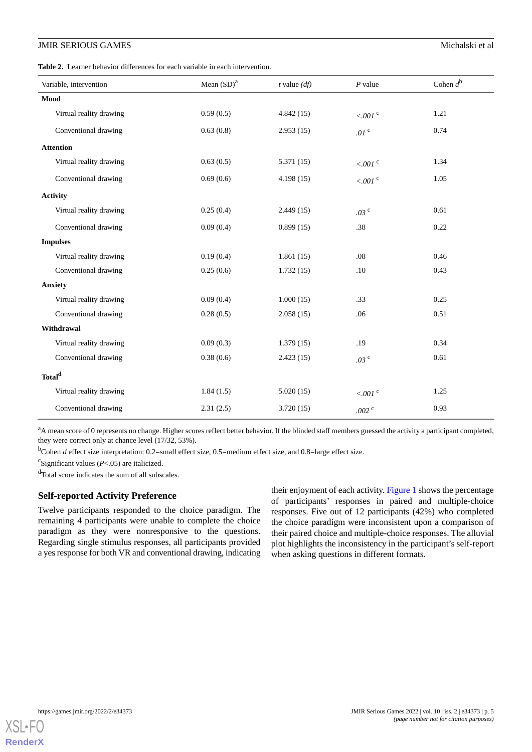<span id="page-4-0"></span>**Table 2.** Learner behavior differences for each variable in each intervention.

| Variable, intervention  | Mean $(SD)^a$ | $t$ value $(df)$ | $P$ value            | Cohen $d^{\mathfrak{b}}$ |
|-------------------------|---------------|------------------|----------------------|--------------------------|
| Mood                    |               |                  |                      |                          |
| Virtual reality drawing | 0.59(0.5)     | 4.842(15)        | $<0.01$ $^{\circ}$   | 1.21                     |
| Conventional drawing    | 0.63(0.8)     | 2.953(15)        | .01 $^{\circ}$       | 0.74                     |
| <b>Attention</b>        |               |                  |                      |                          |
| Virtual reality drawing | 0.63(0.5)     | 5.371(15)        | $<.001$ <sup>c</sup> | 1.34                     |
| Conventional drawing    | 0.69(0.6)     | 4.198(15)        | $< 001$ c            | 1.05                     |
| <b>Activity</b>         |               |                  |                      |                          |
| Virtual reality drawing | 0.25(0.4)     | 2.449(15)        | .03 <sup>c</sup>     | 0.61                     |
| Conventional drawing    | 0.09(0.4)     | 0.899(15)        | .38                  | 0.22                     |
| <b>Impulses</b>         |               |                  |                      |                          |
| Virtual reality drawing | 0.19(0.4)     | 1.861(15)        | .08                  | 0.46                     |
| Conventional drawing    | 0.25(0.6)     | 1.732(15)        | .10                  | 0.43                     |
| <b>Anxiety</b>          |               |                  |                      |                          |
| Virtual reality drawing | 0.09(0.4)     | 1.000(15)        | .33                  | 0.25                     |
| Conventional drawing    | 0.28(0.5)     | 2.058(15)        | .06                  | 0.51                     |
| Withdrawal              |               |                  |                      |                          |
| Virtual reality drawing | 0.09(0.3)     | 1.379(15)        | .19                  | 0.34                     |
| Conventional drawing    | 0.38(0.6)     | 2.423(15)        | .03 <sup>c</sup>     | 0.61                     |
| Total <sup>d</sup>      |               |                  |                      |                          |
| Virtual reality drawing | 1.84(1.5)     | 5.020(15)        | $<.001$ c            | 1.25                     |
| Conventional drawing    | 2.31(2.5)     | 3.720(15)        | .002 $^{\circ}$      | 0.93                     |

<sup>a</sup>A mean score of 0 represents no change. Higher scores reflect better behavior. If the blinded staff members guessed the activity a participant completed, they were correct only at chance level (17/32, 53%).

<sup>b</sup>Cohen *d* effect size interpretation: 0.2=small effect size, 0.5=medium effect size, and 0.8=large effect size.

c Significant values (*P*<.05) are italicized.

<sup>d</sup>Total score indicates the sum of all subscales.

#### **Self-reported Activity Preference**

Twelve participants responded to the choice paradigm. The remaining 4 participants were unable to complete the choice paradigm as they were nonresponsive to the questions. Regarding single stimulus responses, all participants provided a yes response for both VR and conventional drawing, indicating their enjoyment of each activity. [Figure 1](#page-5-0) shows the percentage of participants' responses in paired and multiple-choice responses. Five out of 12 participants (42%) who completed the choice paradigm were inconsistent upon a comparison of their paired choice and multiple-choice responses. The alluvial plot highlights the inconsistency in the participant's self-report when asking questions in different formats.

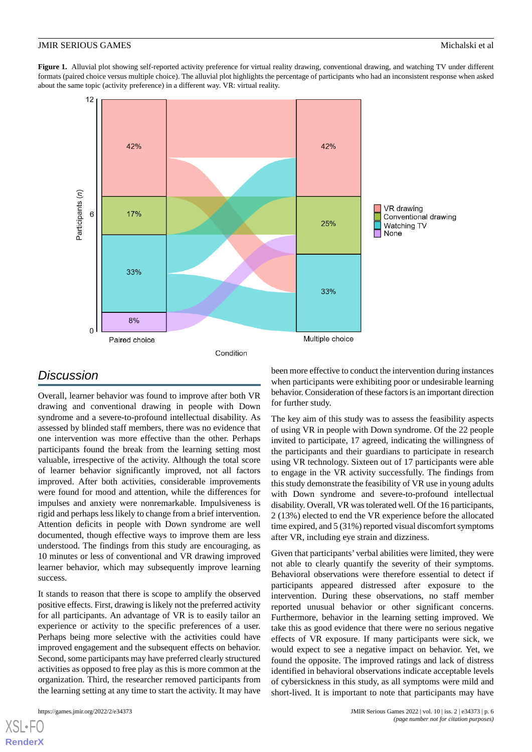<span id="page-5-0"></span>Figure 1. Alluvial plot showing self-reported activity preference for virtual reality drawing, conventional drawing, and watching TV under different formats (paired choice versus multiple choice). The alluvial plot highlights the percentage of participants who had an inconsistent response when asked about the same topic (activity preference) in a different way. VR: virtual reality.



# *Discussion*

Overall, learner behavior was found to improve after both VR drawing and conventional drawing in people with Down syndrome and a severe-to-profound intellectual disability. As assessed by blinded staff members, there was no evidence that one intervention was more effective than the other. Perhaps participants found the break from the learning setting most valuable, irrespective of the activity. Although the total score of learner behavior significantly improved, not all factors improved. After both activities, considerable improvements were found for mood and attention, while the differences for impulses and anxiety were nonremarkable. Impulsiveness is rigid and perhaps less likely to change from a brief intervention. Attention deficits in people with Down syndrome are well documented, though effective ways to improve them are less understood. The findings from this study are encouraging, as 10 minutes or less of conventional and VR drawing improved learner behavior, which may subsequently improve learning success.

It stands to reason that there is scope to amplify the observed positive effects. First, drawing is likely not the preferred activity for all participants. An advantage of VR is to easily tailor an experience or activity to the specific preferences of a user. Perhaps being more selective with the activities could have improved engagement and the subsequent effects on behavior. Second, some participants may have preferred clearly structured activities as opposed to free play as this is more common at the organization. Third, the researcher removed participants from the learning setting at any time to start the activity. It may have

[XSL](http://www.w3.org/Style/XSL)•FO **[RenderX](http://www.renderx.com/)**

been more effective to conduct the intervention during instances when participants were exhibiting poor or undesirable learning behavior. Consideration of these factors is an important direction for further study.

The key aim of this study was to assess the feasibility aspects of using VR in people with Down syndrome. Of the 22 people invited to participate, 17 agreed, indicating the willingness of the participants and their guardians to participate in research using VR technology. Sixteen out of 17 participants were able to engage in the VR activity successfully. The findings from this study demonstrate the feasibility of VR use in young adults with Down syndrome and severe-to-profound intellectual disability. Overall, VR was tolerated well. Of the 16 participants, 2 (13%) elected to end the VR experience before the allocated time expired, and 5 (31%) reported visual discomfort symptoms after VR, including eye strain and dizziness.

Given that participants' verbal abilities were limited, they were not able to clearly quantify the severity of their symptoms. Behavioral observations were therefore essential to detect if participants appeared distressed after exposure to the intervention. During these observations, no staff member reported unusual behavior or other significant concerns. Furthermore, behavior in the learning setting improved. We take this as good evidence that there were no serious negative effects of VR exposure. If many participants were sick, we would expect to see a negative impact on behavior. Yet, we found the opposite. The improved ratings and lack of distress identified in behavioral observations indicate acceptable levels of cybersickness in this study, as all symptoms were mild and short-lived. It is important to note that participants may have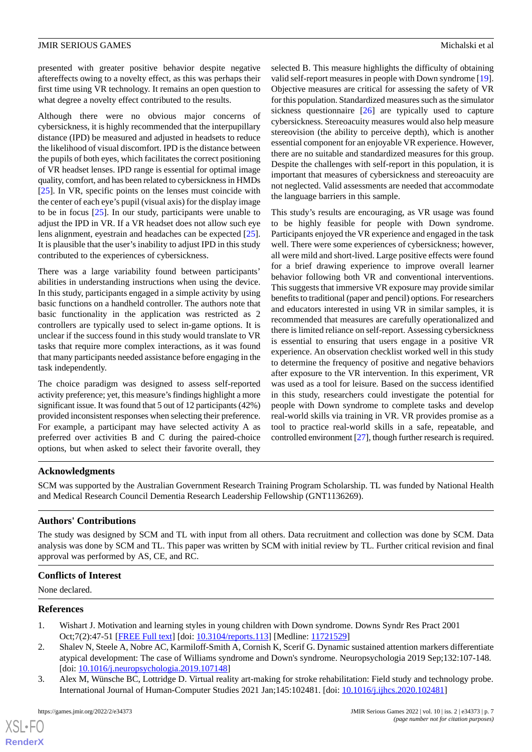presented with greater positive behavior despite negative aftereffects owing to a novelty effect, as this was perhaps their first time using VR technology. It remains an open question to what degree a novelty effect contributed to the results.

Although there were no obvious major concerns of cybersickness, it is highly recommended that the interpupillary distance (IPD) be measured and adjusted in headsets to reduce the likelihood of visual discomfort. IPD is the distance between the pupils of both eyes, which facilitates the correct positioning of VR headset lenses. IPD range is essential for optimal image quality, comfort, and has been related to cybersickness in HMDs [[25\]](#page-7-21). In VR, specific points on the lenses must coincide with the center of each eye's pupil (visual axis) for the display image to be in focus [\[25](#page-7-21)]. In our study, participants were unable to adjust the IPD in VR. If a VR headset does not allow such eye lens alignment, eyestrain and headaches can be expected [[25\]](#page-7-21). It is plausible that the user's inability to adjust IPD in this study contributed to the experiences of cybersickness.

There was a large variability found between participants' abilities in understanding instructions when using the device. In this study, participants engaged in a simple activity by using basic functions on a handheld controller. The authors note that basic functionality in the application was restricted as 2 controllers are typically used to select in-game options. It is unclear if the success found in this study would translate to VR tasks that require more complex interactions, as it was found that many participants needed assistance before engaging in the task independently.

The choice paradigm was designed to assess self-reported activity preference; yet, this measure's findings highlight a more significant issue. It was found that 5 out of 12 participants (42%) provided inconsistent responses when selecting their preference. For example, a participant may have selected activity A as preferred over activities B and C during the paired-choice options, but when asked to select their favorite overall, they

selected B. This measure highlights the difficulty of obtaining valid self-report measures in people with Down syndrome [[19\]](#page-7-15). Objective measures are critical for assessing the safety of VR for this population. Standardized measures such as the simulator sickness questionnaire [\[26](#page-8-0)] are typically used to capture cybersickness. Stereoacuity measures would also help measure stereovision (the ability to perceive depth), which is another essential component for an enjoyable VR experience. However, there are no suitable and standardized measures for this group. Despite the challenges with self-report in this population, it is important that measures of cybersickness and stereoacuity are not neglected. Valid assessments are needed that accommodate the language barriers in this sample.

This study's results are encouraging, as VR usage was found to be highly feasible for people with Down syndrome. Participants enjoyed the VR experience and engaged in the task well. There were some experiences of cybersickness; however, all were mild and short-lived. Large positive effects were found for a brief drawing experience to improve overall learner behavior following both VR and conventional interventions. This suggests that immersive VR exposure may provide similar benefits to traditional (paper and pencil) options. For researchers and educators interested in using VR in similar samples, it is recommended that measures are carefully operationalized and there is limited reliance on self-report. Assessing cybersickness is essential to ensuring that users engage in a positive VR experience. An observation checklist worked well in this study to determine the frequency of positive and negative behaviors after exposure to the VR intervention. In this experiment, VR was used as a tool for leisure. Based on the success identified in this study, researchers could investigate the potential for people with Down syndrome to complete tasks and develop real-world skills via training in VR. VR provides promise as a tool to practice real-world skills in a safe, repeatable, and controlled environment [[27](#page-8-1)], though further research is required.

# **Acknowledgments**

SCM was supported by the Australian Government Research Training Program Scholarship. TL was funded by National Health and Medical Research Council Dementia Research Leadership Fellowship (GNT1136269).

# **Authors' Contributions**

The study was designed by SCM and TL with input from all others. Data recruitment and collection was done by SCM. Data analysis was done by SCM and TL. This paper was written by SCM with initial review by TL. Further critical revision and final approval was performed by AS, CE, and RC.

#### <span id="page-6-0"></span>**Conflicts of Interest**

<span id="page-6-1"></span>None declared.

#### <span id="page-6-2"></span>**References**

 $XS$  $\cdot$ FC **[RenderX](http://www.renderx.com/)**

- 1. Wishart J. Motivation and learning styles in young children with Down syndrome. Downs Syndr Res Pract 2001 Oct;7(2):47-51 [\[FREE Full text\]](https://www.down-syndrome.org/research-practice/7/2/47/) [doi: [10.3104/reports.113](http://dx.doi.org/10.3104/reports.113)] [Medline: [11721529](http://www.ncbi.nlm.nih.gov/entrez/query.fcgi?cmd=Retrieve&db=PubMed&list_uids=11721529&dopt=Abstract)]
- 2. Shalev N, Steele A, Nobre AC, Karmiloff-Smith A, Cornish K, Scerif G. Dynamic sustained attention markers differentiate atypical development: The case of Williams syndrome and Down's syndrome. Neuropsychologia 2019 Sep;132:107-148. [doi: [10.1016/j.neuropsychologia.2019.107148\]](http://dx.doi.org/10.1016/j.neuropsychologia.2019.107148)
- 3. Alex M, Wünsche BC, Lottridge D. Virtual reality art-making for stroke rehabilitation: Field study and technology probe. International Journal of Human-Computer Studies 2021 Jan;145:102481. [doi: [10.1016/j.ijhcs.2020.102481](http://dx.doi.org/10.1016/j.ijhcs.2020.102481)]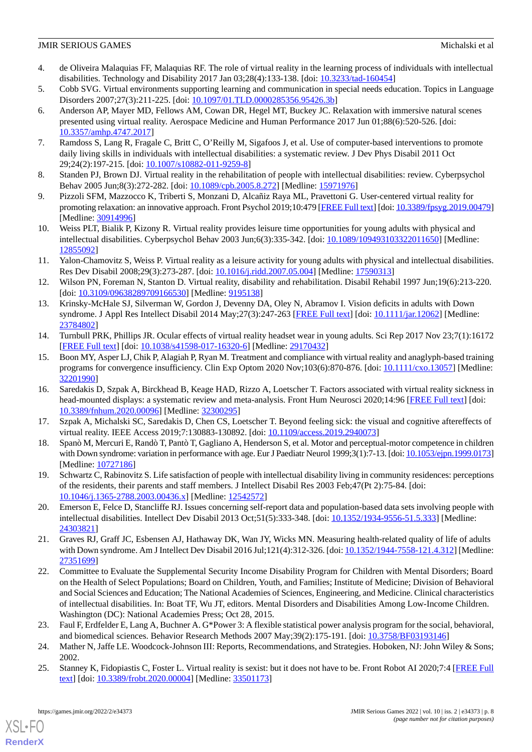- <span id="page-7-0"></span>4. de Oliveira Malaquias FF, Malaquias RF. The role of virtual reality in the learning process of individuals with intellectual disabilities. Technology and Disability 2017 Jan 03;28(4):133-138. [doi: [10.3233/tad-160454](http://dx.doi.org/10.3233/tad-160454)]
- <span id="page-7-2"></span><span id="page-7-1"></span>5. Cobb SVG. Virtual environments supporting learning and communication in special needs education. Topics in Language Disorders 2007;27(3):211-225. [doi: [10.1097/01.TLD.0000285356.95426.3b\]](http://dx.doi.org/10.1097/01.TLD.0000285356.95426.3b)
- 6. Anderson AP, Mayer MD, Fellows AM, Cowan DR, Hegel MT, Buckey JC. Relaxation with immersive natural scenes presented using virtual reality. Aerospace Medicine and Human Performance 2017 Jun 01;88(6):520-526. [doi: [10.3357/amhp.4747.2017](http://dx.doi.org/10.3357/amhp.4747.2017)]
- <span id="page-7-4"></span><span id="page-7-3"></span>7. Ramdoss S, Lang R, Fragale C, Britt C, O'Reilly M, Sigafoos J, et al. Use of computer-based interventions to promote daily living skills in individuals with intellectual disabilities: a systematic review. J Dev Phys Disabil 2011 Oct 29;24(2):197-215. [doi: [10.1007/s10882-011-9259-8\]](http://dx.doi.org/10.1007/s10882-011-9259-8)
- <span id="page-7-5"></span>8. Standen PJ, Brown DJ. Virtual reality in the rehabilitation of people with intellectual disabilities: review. Cyberpsychol Behav 2005 Jun;8(3):272-282. [doi: [10.1089/cpb.2005.8.272\]](http://dx.doi.org/10.1089/cpb.2005.8.272) [Medline: [15971976](http://www.ncbi.nlm.nih.gov/entrez/query.fcgi?cmd=Retrieve&db=PubMed&list_uids=15971976&dopt=Abstract)]
- <span id="page-7-6"></span>9. Pizzoli SFM, Mazzocco K, Triberti S, Monzani D, Alcañiz Raya ML, Pravettoni G. User-centered virtual reality for promoting relaxation: an innovative approach. Front Psychol 2019;10:479 [\[FREE Full text\]](https://doi.org/10.3389/fpsyg.2019.00479) [doi: [10.3389/fpsyg.2019.00479\]](http://dx.doi.org/10.3389/fpsyg.2019.00479) [Medline: [30914996](http://www.ncbi.nlm.nih.gov/entrez/query.fcgi?cmd=Retrieve&db=PubMed&list_uids=30914996&dopt=Abstract)]
- <span id="page-7-7"></span>10. Weiss PLT, Bialik P, Kizony R. Virtual reality provides leisure time opportunities for young adults with physical and intellectual disabilities. Cyberpsychol Behav 2003 Jun;6(3):335-342. [doi: [10.1089/109493103322011650](http://dx.doi.org/10.1089/109493103322011650)] [Medline: [12855092](http://www.ncbi.nlm.nih.gov/entrez/query.fcgi?cmd=Retrieve&db=PubMed&list_uids=12855092&dopt=Abstract)]
- <span id="page-7-8"></span>11. Yalon-Chamovitz S, Weiss P. Virtual reality as a leisure activity for young adults with physical and intellectual disabilities. Res Dev Disabil 2008;29(3):273-287. [doi: [10.1016/j.ridd.2007.05.004](http://dx.doi.org/10.1016/j.ridd.2007.05.004)] [Medline: [17590313](http://www.ncbi.nlm.nih.gov/entrez/query.fcgi?cmd=Retrieve&db=PubMed&list_uids=17590313&dopt=Abstract)]
- <span id="page-7-9"></span>12. Wilson PN, Foreman N, Stanton D. Virtual reality, disability and rehabilitation. Disabil Rehabil 1997 Jun;19(6):213-220. [doi: [10.3109/09638289709166530](http://dx.doi.org/10.3109/09638289709166530)] [Medline: [9195138\]](http://www.ncbi.nlm.nih.gov/entrez/query.fcgi?cmd=Retrieve&db=PubMed&list_uids=9195138&dopt=Abstract)
- <span id="page-7-10"></span>13. Krinsky-McHale SJ, Silverman W, Gordon J, Devenny DA, Oley N, Abramov I. Vision deficits in adults with Down syndrome. J Appl Res Intellect Disabil 2014 May; 27(3): 247-263 [\[FREE Full text\]](http://europepmc.org/abstract/MED/23784802) [doi: [10.1111/jar.12062\]](http://dx.doi.org/10.1111/jar.12062) [Medline: [23784802](http://www.ncbi.nlm.nih.gov/entrez/query.fcgi?cmd=Retrieve&db=PubMed&list_uids=23784802&dopt=Abstract)]
- <span id="page-7-11"></span>14. Turnbull PRK, Phillips JR. Ocular effects of virtual reality headset wear in young adults. Sci Rep 2017 Nov 23;7(1):16172 [[FREE Full text](https://doi.org/10.1038/s41598-017-16320-6)] [doi: [10.1038/s41598-017-16320-6\]](http://dx.doi.org/10.1038/s41598-017-16320-6) [Medline: [29170432](http://www.ncbi.nlm.nih.gov/entrez/query.fcgi?cmd=Retrieve&db=PubMed&list_uids=29170432&dopt=Abstract)]
- <span id="page-7-12"></span>15. Boon MY, Asper LJ, Chik P, Alagiah P, Ryan M. Treatment and compliance with virtual reality and anaglyph-based training programs for convergence insufficiency. Clin Exp Optom 2020 Nov;103(6):870-876. [doi: [10.1111/cxo.13057\]](http://dx.doi.org/10.1111/cxo.13057) [Medline: [32201990](http://www.ncbi.nlm.nih.gov/entrez/query.fcgi?cmd=Retrieve&db=PubMed&list_uids=32201990&dopt=Abstract)]
- <span id="page-7-14"></span><span id="page-7-13"></span>16. Saredakis D, Szpak A, Birckhead B, Keage HAD, Rizzo A, Loetscher T. Factors associated with virtual reality sickness in head-mounted displays: a systematic review and meta-analysis. Front Hum Neurosci 2020;14:96 [[FREE Full text](https://doi.org/10.3389/fnhum.2020.00096)] [doi: [10.3389/fnhum.2020.00096\]](http://dx.doi.org/10.3389/fnhum.2020.00096) [Medline: [32300295\]](http://www.ncbi.nlm.nih.gov/entrez/query.fcgi?cmd=Retrieve&db=PubMed&list_uids=32300295&dopt=Abstract)
- <span id="page-7-15"></span>17. Szpak A, Michalski SC, Saredakis D, Chen CS, Loetscher T. Beyond feeling sick: the visual and cognitive aftereffects of virtual reality. IEEE Access 2019;7:130883-130892. [doi: [10.1109/access.2019.2940073](http://dx.doi.org/10.1109/access.2019.2940073)]
- <span id="page-7-16"></span>18. Spanò M, Mercuri E, Randò T, Pantò T, Gagliano A, Henderson S, et al. Motor and perceptual-motor competence in children with Down syndrome: variation in performance with age. Eur J Paediatr Neurol 1999;3(1):7-13. [doi: [10.1053/ejpn.1999.0173\]](http://dx.doi.org/10.1053/ejpn.1999.0173) [Medline: [10727186](http://www.ncbi.nlm.nih.gov/entrez/query.fcgi?cmd=Retrieve&db=PubMed&list_uids=10727186&dopt=Abstract)]
- <span id="page-7-17"></span>19. Schwartz C, Rabinovitz S. Life satisfaction of people with intellectual disability living in community residences: perceptions of the residents, their parents and staff members. J Intellect Disabil Res 2003 Feb;47(Pt 2):75-84. [doi: [10.1046/j.1365-2788.2003.00436.x\]](http://dx.doi.org/10.1046/j.1365-2788.2003.00436.x) [Medline: [12542572\]](http://www.ncbi.nlm.nih.gov/entrez/query.fcgi?cmd=Retrieve&db=PubMed&list_uids=12542572&dopt=Abstract)
- <span id="page-7-18"></span>20. Emerson E, Felce D, Stancliffe RJ. Issues concerning self-report data and population-based data sets involving people with intellectual disabilities. Intellect Dev Disabil 2013 Oct;51(5):333-348. [doi: [10.1352/1934-9556-51.5.333](http://dx.doi.org/10.1352/1934-9556-51.5.333)] [Medline: [24303821](http://www.ncbi.nlm.nih.gov/entrez/query.fcgi?cmd=Retrieve&db=PubMed&list_uids=24303821&dopt=Abstract)]
- 21. Graves RJ, Graff JC, Esbensen AJ, Hathaway DK, Wan JY, Wicks MN. Measuring health-related quality of life of adults with Down syndrome. Am J Intellect Dev Disabil 2016 Jul; 121(4): 312-326. [doi: [10.1352/1944-7558-121.4.312](http://dx.doi.org/10.1352/1944-7558-121.4.312)] [Medline: [27351699](http://www.ncbi.nlm.nih.gov/entrez/query.fcgi?cmd=Retrieve&db=PubMed&list_uids=27351699&dopt=Abstract)]
- <span id="page-7-20"></span><span id="page-7-19"></span>22. Committee to Evaluate the Supplemental Security Income Disability Program for Children with Mental Disorders; Board on the Health of Select Populations; Board on Children, Youth, and Families; Institute of Medicine; Division of Behavioral and Social Sciences and Education; The National Academies of Sciences, Engineering, and Medicine. Clinical characteristics of intellectual disabilities. In: Boat TF, Wu JT, editors. Mental Disorders and Disabilities Among Low-Income Children. Washington (DC): National Academies Press; Oct 28, 2015.
- <span id="page-7-21"></span>23. Faul F, Erdfelder E, Lang A, Buchner A. G\*Power 3: A flexible statistical power analysis program for the social, behavioral, and biomedical sciences. Behavior Research Methods 2007 May;39(2):175-191. [doi: [10.3758/BF03193146\]](http://dx.doi.org/10.3758/BF03193146)
- 24. Mather N, Jaffe LE. Woodcock-Johnson III: Reports, Recommendations, and Strategies. Hoboken, NJ: John Wiley & Sons; 2002.
- 25. Stanney K, Fidopiastis C, Foster L. Virtual reality is sexist: but it does not have to be. Front Robot AI 2020;7:4 [[FREE Full](https://doi.org/10.3389/frobt.2020.00004) [text](https://doi.org/10.3389/frobt.2020.00004)] [doi: [10.3389/frobt.2020.00004](http://dx.doi.org/10.3389/frobt.2020.00004)] [Medline: [33501173](http://www.ncbi.nlm.nih.gov/entrez/query.fcgi?cmd=Retrieve&db=PubMed&list_uids=33501173&dopt=Abstract)]

[XSL](http://www.w3.org/Style/XSL)•FO **[RenderX](http://www.renderx.com/)**